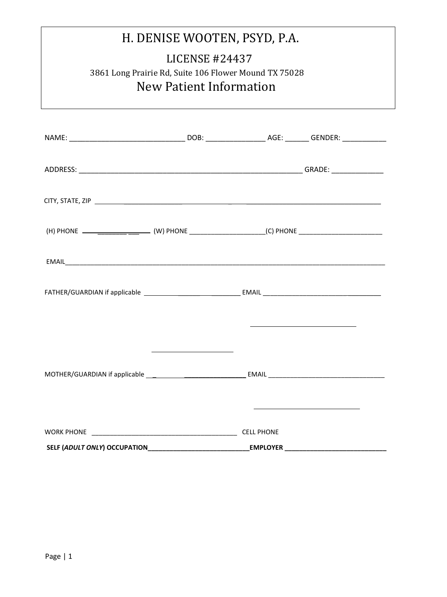| H. DENISE WOOTEN, PSYD, P.A.<br><b>LICENSE #24437</b><br>3861 Long Prairie Rd, Suite 106 Flower Mound TX 75028<br>New Patient Information |  |                   |  |  |  |
|-------------------------------------------------------------------------------------------------------------------------------------------|--|-------------------|--|--|--|
|                                                                                                                                           |  |                   |  |  |  |
|                                                                                                                                           |  |                   |  |  |  |
|                                                                                                                                           |  |                   |  |  |  |
|                                                                                                                                           |  |                   |  |  |  |
|                                                                                                                                           |  |                   |  |  |  |
|                                                                                                                                           |  |                   |  |  |  |
|                                                                                                                                           |  |                   |  |  |  |
|                                                                                                                                           |  |                   |  |  |  |
|                                                                                                                                           |  |                   |  |  |  |
|                                                                                                                                           |  |                   |  |  |  |
|                                                                                                                                           |  | <b>CELL PHONE</b> |  |  |  |

**SELF (***ADULT ONLY***) OCCUPATION\_\_\_\_\_\_\_\_\_\_\_\_\_\_\_\_\_\_\_\_\_\_\_\_\_\_\_\_EMPLOYER \_\_\_\_\_\_\_\_\_\_\_\_\_\_\_\_\_\_\_\_\_\_\_\_\_\_\_\_**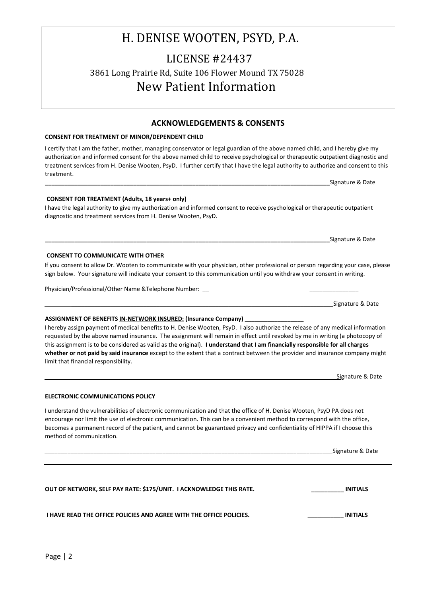### LICENSE #24437 3861 Long Prairie Rd, Suite 106 Flower Mound TX 75028 New Patient Information

**ACKNOWLEDGEMENTS & CONSENTS** 

#### **CONSENT FOR TREATMENT OF MINOR/DEPENDENT CHILD**

I certify that I am the father, mother, managing conservator or legal guardian of the above named child, and I hereby give my authorization and informed consent for the above named child to receive psychological or therapeutic outpatient diagnostic and treatment services from H. Denise Wooten, PsyD. I further certify that I have the legal authority to authorize and consent to this treatment.

**CONSENT FOR TREATMENT (Adults, 18 years+ only)**  I have the legal authority to give my authorization and informed consent to receive psychological or therapeutic outpatient diagnostic and treatment services from H. Denise Wooten, PsyD.

If you consent to allow Dr. Wooten to communicate with your physician, other professional or person regarding your case, please sign below. Your signature will indicate your consent to this communication until you withdraw your consent in writing.

Physician/Professional/Other Name &Telephone Number:

**CONSENT TO COMMUNICATE WITH OTHER** 

**ELECTRONIC COMMUNICATIONS POLICY** 

#### **ASSIGNMENT OF BENEFITS IN-NETWORK INSURED: (Insurance Company) \_\_\_\_\_\_\_\_\_\_\_\_\_\_\_\_\_\_**

I hereby assign payment of medical benefits to H. Denise Wooten, PsyD. I also authorize the release of any medical information requested by the above named insurance. The assignment will remain in effect until revoked by me in writing (a photocopy of this assignment is to be considered as valid as the original). **I understand that I am financially responsible for all charges whether or not paid by said insurance** except to the extent that a contract between the provider and insurance company might limit that financial responsibility.

Signature & Date

#### I understand the vulnerabilities of electronic communication and that the office of H. Denise Wooten, PsyD PA does not encourage nor limit the use of electronic communication. This can be a convenient method to correspond with the office, becomes a permanent record of the patient, and cannot be guaranteed privacy and confidentiality of HIPPA if I choose this method of communication.

| OUT OF NETWORK, SELF PAY RATE: \$175/UNIT. I ACKNOWLEDGE THIS RATE. | <b>INITIALS</b> |
|---------------------------------------------------------------------|-----------------|
| I HAVE READ THE OFFICE POLICIES AND AGREE WITH THE OFFICE POLICIES. | <b>INITIALS</b> |

Signature & Date

Signature & Date

Signature & Date

Signature & Date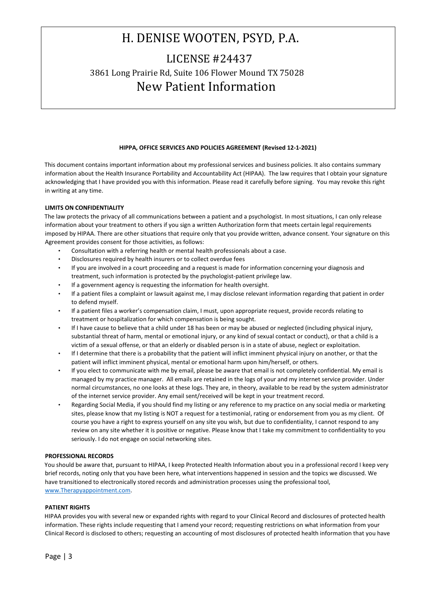### LICENSE #24437 3861 Long Prairie Rd, Suite 106 Flower Mound TX 75028 New Patient Information

#### **HIPPA, OFFICE SERVICES AND POLICIES AGREEMENT (Revised 12-1-2021)**

This document contains important information about my professional services and business policies. It also contains summary information about the Health Insurance Portability and Accountability Act (HIPAA). The law requires that I obtain your signature acknowledging that I have provided you with this information. Please read it carefully before signing. You may revoke this right in writing at any time.

#### **LIMITS ON CONFIDENTIALITY**

The law protects the privacy of all communications between a patient and a psychologist. In most situations, I can only release information about your treatment to others if you sign a written Authorization form that meets certain legal requirements imposed by HIPAA. There are other situations that require only that you provide written, advance consent. Your signature on this Agreement provides consent for those activities, as follows:

- Consultation with a referring health or mental health professionals about a case.
- Disclosures required by health insurers or to collect overdue fees
- If you are involved in a court proceeding and a request is made for information concerning your diagnosis and treatment, such information is protected by the psychologist-patient privilege law.
- If a government agency is requesting the information for health oversight.
- If a patient files a complaint or lawsuit against me, I may disclose relevant information regarding that patient in order to defend myself.
- If a patient files a worker's compensation claim, I must, upon appropriate request, provide records relating to treatment or hospitalization for which compensation is being sought.
- If I have cause to believe that a child under 18 has been or may be abused or neglected (including physical injury, substantial threat of harm, mental or emotional injury, or any kind of sexual contact or conduct), or that a child is a victim of a sexual offense, or that an elderly or disabled person is in a state of abuse, neglect or exploitation.
- If I determine that there is a probability that the patient will inflict imminent physical injury on another, or that the patient will inflict imminent physical, mental or emotional harm upon him/herself, or others.
- If you elect to communicate with me by email, please be aware that email is not completely confidential. My email is managed by my practice manager. All emails are retained in the logs of your and my internet service provider. Under normal circumstances, no one looks at these logs. They are, in theory, available to be read by the system administrator of the internet service provider. Any email sent/received will be kept in your treatment record.
- Regarding Social Media, if you should find my listing or any reference to my practice on any social media or marketing sites, please know that my listing is NOT a request for a testimonial, rating or endorsement from you as my client. Of course you have a right to express yourself on any site you wish, but due to confidentiality, I cannot respond to any review on any site whether it is positive or negative. Please know that I take my commitment to confidentiality to you seriously. I do not engage on social networking sites.

#### **PROFESSIONAL RECORDS**

You should be aware that, pursuant to HIPAA, I keep Protected Health Information about you in a professional record I keep very brief records, noting only that you have been here, what interventions happened in session and the topics we discussed. We have transitioned to electronically stored records and administration processes using the professional tool, [www.Therapyappointment.com.](http://www.therapyappointment.com/) 

#### **PATIENT RIGHTS**

HIPAA provides you with several new or expanded rights with regard to your Clinical Record and disclosures of protected health information. These rights include requesting that I amend your record; requesting restrictions on what information from your Clinical Record is disclosed to others; requesting an accounting of most disclosures of protected health information that you have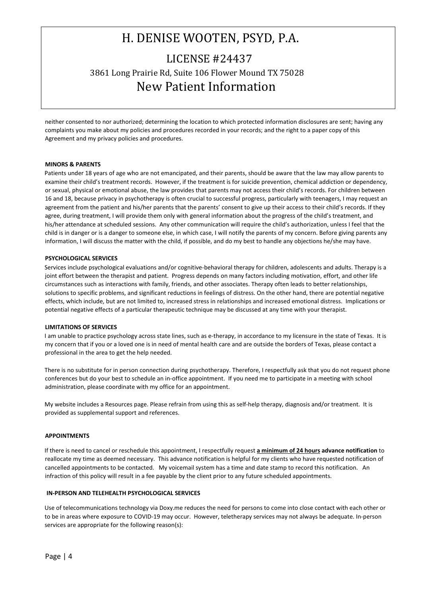## H. DENISE WOOTEN, PSYD, P.A. LICENSE #24437 3861 Long Prairie Rd, Suite 106 Flower Mound TX 75028 New Patient Information

neither consented to nor authorized; determining the location to which protected information disclosures are sent; having any complaints you make about my policies and procedures recorded in your records; and the right to a paper copy of this Agreement and my privacy policies and procedures.

#### **MINORS & PARENTS**

Patients under 18 years of age who are not emancipated, and their parents, should be aware that the law may allow parents to examine their child's treatment records. However, if the treatment is for suicide prevention, chemical addiction or dependency, or sexual, physical or emotional abuse, the law provides that parents may not access their child's records. For children between 16 and 18, because privacy in psychotherapy is often crucial to successful progress, particularly with teenagers, I may request an agreement from the patient and his/her parents that the parents' consent to give up their access to their child's records. If they agree, during treatment, I will provide them only with general information about the progress of the child's treatment, and his/her attendance at scheduled sessions. Any other communication will require the child's authorization, unless I feel that the child is in danger or is a danger to someone else, in which case, I will notify the parents of my concern. Before giving parents any information, I will discuss the matter with the child, if possible, and do my best to handle any objections he/she may have.

#### **PSYCHOLOGICAL SERVICES**

Services include psychological evaluations and/or cognitive-behavioral therapy for children, adolescents and adults. Therapy is a joint effort between the therapist and patient. Progress depends on many factors including motivation, effort, and other life circumstances such as interactions with family, friends, and other associates. Therapy often leads to better relationships, solutions to specific problems, and significant reductions in feelings of distress. On the other hand, there are potential negative effects, which include, but are not limited to, increased stress in relationships and increased emotional distress. Implications or potential negative effects of a particular therapeutic technique may be discussed at any time with your therapist.

#### **LIMITATIONS OF SERVICES**

I am unable to practice psychology across state lines, such as e-therapy, in accordance to my licensure in the state of Texas. It is my concern that if you or a loved one is in need of mental health care and are outside the borders of Texas, please contact a professional in the area to get the help needed.

There is no substitute for in person connection during psychotherapy. Therefore, I respectfully ask that you do not request phone conferences but do your best to schedule an in-office appointment. If you need me to participate in a meeting with school administration, please coordinate with my office for an appointment.

My website includes a Resources page. Please refrain from using this as self-help therapy, diagnosis and/or treatment. It is provided as supplemental support and references.

#### **APPOINTMENTS**

If there is need to cancel or reschedule this appointment, I respectfully request **a minimum of 24 hours advance notification** to reallocate my time as deemed necessary. This advance notification is helpful for my clients who have requested notification of cancelled appointments to be contacted. My voicemail system has a time and date stamp to record this notification. An infraction of this policy will result in a fee payable by the client prior to any future scheduled appointments.

#### **IN-PERSON AND TELEHEALTH PSYCHOLOGICAL SERVICES**

Use of telecommunications technology via Doxy.me reduces the need for persons to come into close contact with each other or to be in areas where exposure to COVID-19 may occur. However, teletherapy services may not always be adequate. In-person services are appropriate for the following reason(s):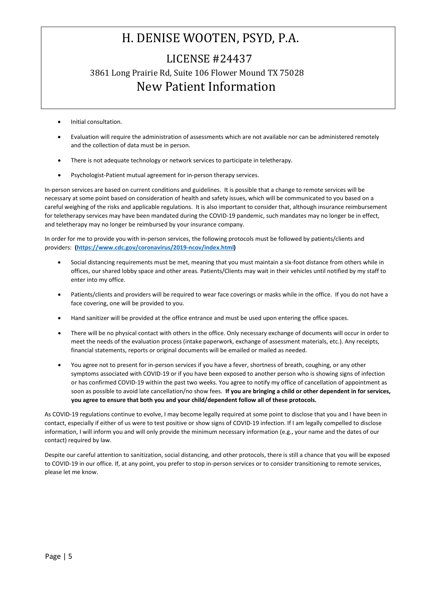### LICENSE #24437 3861 Long Prairie Rd, Suite 106 Flower Mound TX 75028 New Patient Information

- Initial consultation.
- Evaluation will require the administration of assessments which are not available nor can be administered remotely and the collection of data must be in person.
- There is not adequate technology or network services to participate in teletherapy.
- Psychologist-Patient mutual agreement for in-person therapy services.

In-person services are based on current conditions and guidelines. It is possible that a change to remote services will be necessary at some point based on consideration of health and safety issues, which will be communicated to you based on a careful weighing of the risks and applicable regulations. It is also important to consider that, although insurance reimbursement for teletherapy services may have been mandated during the COVID-19 pandemic, such mandates may no longer be in effect, and teletherapy may no longer be reimbursed by your insurance company.

In order for me to provide you with in-person services, the following protocols must be followed by patients/clients and providers: **[\(https://www.cdc.gov/coronavirus/2019-ncov/index.html\)](https://www.cdc.gov/coronavirus/2019-ncov/index.html)**

- Social distancing requirements must be met, meaning that you must maintain a six-foot distance from others while in offices, our shared lobby space and other areas. Patients/Clients may wait in their vehicles until notified by my staff to enter into my office.
- Patients/clients and providers will be required to wear face coverings or masks while in the office. If you do not have a face covering, one will be provided to you.
- Hand sanitizer will be provided at the office entrance and must be used upon entering the office spaces.
- There will be no physical contact with others in the office. Only necessary exchange of documents will occur in order to meet the needs of the evaluation process (intake paperwork, exchange of assessment materials, etc.). Any receipts, financial statements, reports or original documents will be emailed or mailed as needed.
- You agree not to present for in-person services if you have a fever, shortness of breath, coughing, or any other symptoms associated with COVID-19 or if you have been exposed to another person who is showing signs of infection or has confirmed COVID-19 within the past two weeks. You agree to notify my office of cancellation of appointment as soon as possible to avoid late cancellation/no show fees. **If you are bringing a child or other dependent in for services, you agree to ensure that both you and your child/dependent follow all of these protocols.**

As COVID-19 regulations continue to evolve, I may become legally required at some point to disclose that you and I have been in contact, especially if either of us were to test positive or show signs of COVID-19 infection. If I am legally compelled to disclose information, I will inform you and will only provide the minimum necessary information (e.g., your name and the dates of our contact) required by law.

Despite our careful attention to sanitization, social distancing, and other protocols, there is still a chance that you will be exposed to COVID-19 in our office. If, at any point, you prefer to stop in-person services or to consider transitioning to remote services, please let me know.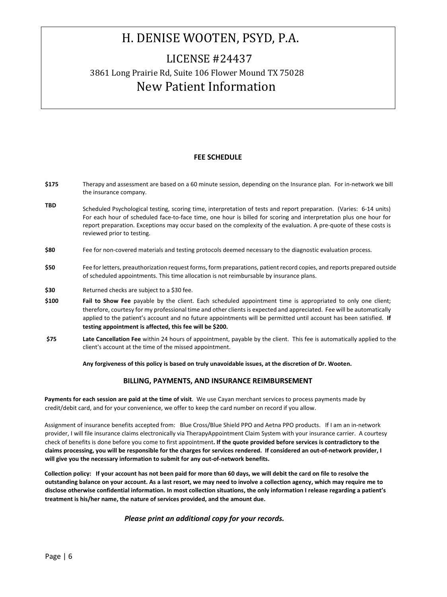### LICENSE #24437 3861 Long Prairie Rd, Suite 106 Flower Mound TX 75028 New Patient Information

#### **FEE SCHEDULE**

- **\$175**  Therapy and assessment are based on a 60 minute session, depending on the Insurance plan. For in-network we bill the insurance company.
- **TBD** Scheduled Psychological testing, scoring time, interpretation of tests and report preparation. (Varies: 6-14 units) For each hour of scheduled face-to-face time, one hour is billed for scoring and interpretation plus one hour for report preparation. Exceptions may occur based on the complexity of the evaluation. A pre-quote of these costs is reviewed prior to testing.
- **\$80**  Fee for non-covered materials and testing protocols deemed necessary to the diagnostic evaluation process.
- **\$50**  Fee for letters, preauthorization request forms, form preparations, patient record copies, and reports prepared outside of scheduled appointments. This time allocation is not reimbursable by insurance plans.
- **\$30** Returned checks are subject to a \$30 fee.
- **\$100 Fail to Show Fee** payable by the client. Each scheduled appointment time is appropriated to only one client; therefore, courtesy for my professional time and other clients is expected and appreciated. Fee will be automatically applied to the patient's account and no future appointments will be permitted until account has been satisfied. **If testing appointment is affected, this fee will be \$200.**
- **\$75 Late Cancellation Fee** within 24 hours of appointment, payable by the client. This fee is automatically applied to the client's account at the time of the missed appointment.

**Any forgiveness of this policy is based on truly unavoidable issues, at the discretion of Dr. Wooten.** 

#### **BILLING, PAYMENTS, AND INSURANCE REIMBURSEMENT**

**Payments for each session are paid at the time of visit**. We use Cayan merchant services to process payments made by credit/debit card, and for your convenience, we offer to keep the card number on record if you allow.

Assignment of insurance benefits accepted from: Blue Cross/Blue Shield PPO and Aetna PPO products. If I am an in-network provider, I will file insurance claims electronically via TherapyAppointment Claim System with your insurance carrier. A courtesy check of benefits is done before you come to first appointment**. If the quote provided before services is contradictory to the claims processing, you will be responsible for the charges for services rendered. If considered an out-of-network provider, I will give you the necessary information to submit for any out-of-network benefits.**

**Collection policy: If your account has not been paid for more than 60 days, we will debit the card on file to resolve the outstanding balance on your account. As a last resort, we may need to involve a collection agency, which may require me to disclose otherwise confidential information. In most collection situations, the only information I release regarding a patient's treatment is his/her name, the nature of services provided, and the amount due.** 

#### *Please print an additional copy for your records.*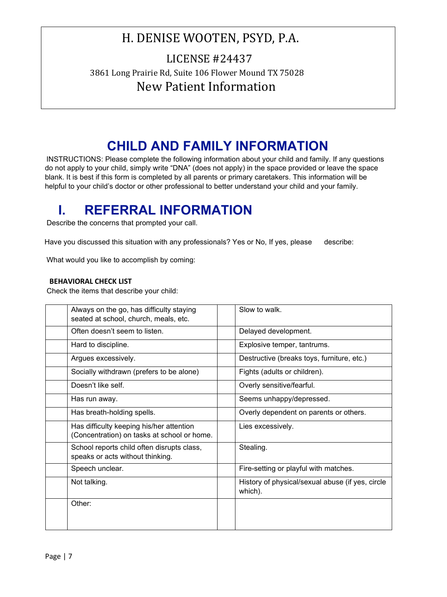### LICENSE #24437 3861 Long Prairie Rd, Suite 106 Flower Mound TX 75028 New Patient Information

## **CHILD AND FAMILY INFORMATION**

INSTRUCTIONS: Please complete the following information about your child and family. If any questions do not apply to your child, simply write "DNA" (does not apply) in the space provided or leave the space blank. It is best if this form is completed by all parents or primary caretakers. This information will be helpful to your child's doctor or other professional to better understand your child and your family.

# **I. REFERRAL INFORMATION**

Describe the concerns that prompted your call.

Have you discussed this situation with any professionals? Yes or No, If yes, please describe:

What would you like to accomplish by coming:

#### **BEHAVIORAL CHECK LIST**

Check the items that describe your child:

| Always on the go, has difficulty staying<br>seated at school, church, meals, etc.       | Slow to walk.                                               |
|-----------------------------------------------------------------------------------------|-------------------------------------------------------------|
| Often doesn't seem to listen.                                                           | Delayed development.                                        |
| Hard to discipline.                                                                     | Explosive temper, tantrums.                                 |
| Argues excessively.                                                                     | Destructive (breaks toys, furniture, etc.)                  |
| Socially withdrawn (prefers to be alone)                                                | Fights (adults or children).                                |
| Doesn't like self.                                                                      | Overly sensitive/fearful.                                   |
| Has run away.                                                                           | Seems unhappy/depressed.                                    |
| Has breath-holding spells.                                                              | Overly dependent on parents or others.                      |
| Has difficulty keeping his/her attention<br>(Concentration) on tasks at school or home. | Lies excessively.                                           |
| School reports child often disrupts class,<br>speaks or acts without thinking.          | Stealing.                                                   |
| Speech unclear.                                                                         | Fire-setting or playful with matches.                       |
| Not talking.                                                                            | History of physical/sexual abuse (if yes, circle<br>which). |
| Other:                                                                                  |                                                             |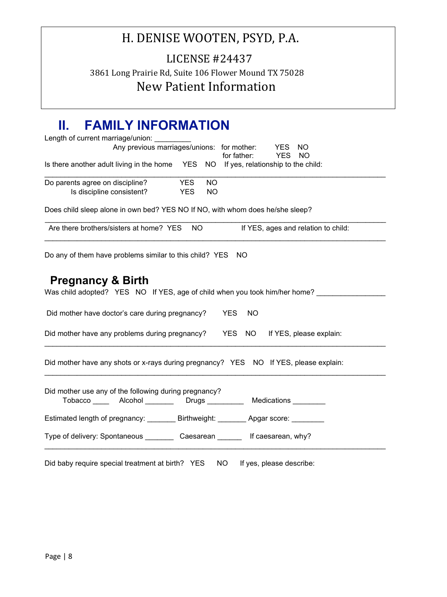LICENSE #24437 3861 Long Prairie Rd, Suite 106 Flower Mound TX 75028 New Patient Information

## **II. FAMILY INFORMATION**

| Length of current marriage/union:                                                                                            |
|------------------------------------------------------------------------------------------------------------------------------|
| Any previous marriages/unions: for mother:<br>YES<br><b>NO</b><br>for father:<br><b>YES</b><br><b>NO</b>                     |
| Is there another adult living in the home YES NO<br>If yes, relationship to the child:                                       |
| Do parents agree on discipline?<br><b>YES</b><br><b>NO</b><br>Is discipline consistent?<br><b>NO</b><br><b>YES</b>           |
|                                                                                                                              |
| Does child sleep alone in own bed? YES NO If NO, with whom does he/she sleep?                                                |
| Are there brothers/sisters at home? YES<br><b>NO</b><br>If YES, ages and relation to child:                                  |
| Do any of them have problems similar to this child? YES NO                                                                   |
| <b>Pregnancy &amp; Birth</b><br>Was child adopted? YES NO If YES, age of child when you took him/her home?                   |
| Did mother have doctor's care during pregnancy?<br><b>YES</b><br><b>NO</b>                                                   |
| Did mother have any problems during pregnancy? YES<br>NO If YES, please explain:                                             |
| Did mother have any shots or x-rays during pregnancy? YES NO If YES, please explain:                                         |
| Did mother use any of the following during pregnancy?<br>Tobacco _____ Alcohol ________ Drugs _________ Medications ________ |
| Estimated length of pregnancy: _________ Birthweight: ________ Apgar score: ________                                         |
| Type of delivery: Spontaneous ___________ Caesarean _________ If caesarean, why?                                             |
| Did baby require special treatment at birth? YES<br>NO <sub>1</sub><br>If yes, please describe:                              |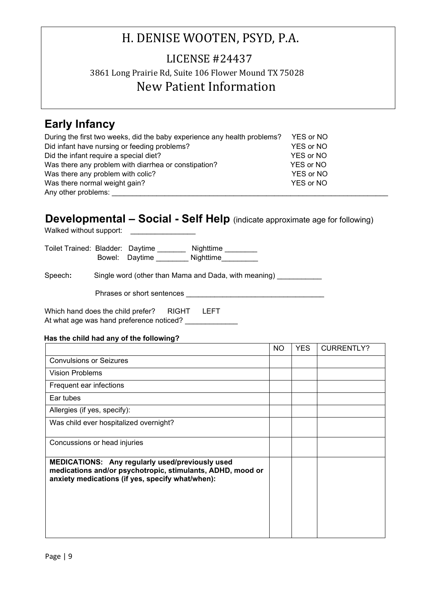## LICENSE #24437 3861 Long Prairie Rd, Suite 106 Flower Mound TX 75028 New Patient Information

### **Early Infancy**

| During the first two weeks, did the baby experience any health problems? | YES or NO |
|--------------------------------------------------------------------------|-----------|
| Did infant have nursing or feeding problems?                             | YES or NO |
| Did the infant require a special diet?                                   | YES or NO |
| Was there any problem with diarrhea or constipation?                     | YES or NO |
| Was there any problem with colic?                                        | YES or NO |
| Was there normal weight gain?                                            | YES or NO |
| Any other problems:                                                      |           |

### **Developmental – Social - Self Help** (indicate approximate age for following)

Walked without support:

Toilet Trained: Bladder: Daytime \_\_\_\_\_\_\_ Nighttime \_\_\_\_\_\_\_\_ Bowel: Daytime Nighttime

Speech: Single word (other than Mama and Dada, with meaning)

Phrases or short sentences \_\_\_\_\_\_\_\_\_\_\_\_\_\_\_\_\_\_\_\_\_\_\_\_\_\_\_\_\_\_\_\_\_\_

Which hand does the child prefer? RIGHT LEFT At what age was hand preference noticed? \_\_\_\_\_\_\_\_\_\_\_\_\_\_

#### **Has the child had any of the following?**

|                                                                                                                                                                   | NO. | YES. | <b>CURRENTLY?</b> |
|-------------------------------------------------------------------------------------------------------------------------------------------------------------------|-----|------|-------------------|
| <b>Convulsions or Seizures</b>                                                                                                                                    |     |      |                   |
| <b>Vision Problems</b>                                                                                                                                            |     |      |                   |
| Frequent ear infections                                                                                                                                           |     |      |                   |
| Ear tubes                                                                                                                                                         |     |      |                   |
| Allergies (if yes, specify):                                                                                                                                      |     |      |                   |
| Was child ever hospitalized overnight?                                                                                                                            |     |      |                   |
| Concussions or head injuries                                                                                                                                      |     |      |                   |
| MEDICATIONS: Any regularly used/previously used<br>medications and/or psychotropic, stimulants, ADHD, mood or<br>anxiety medications (if yes, specify what/when): |     |      |                   |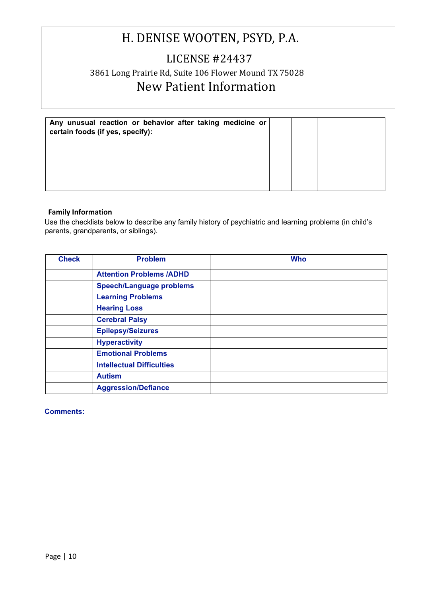### LICENSE #24437 3861 Long Prairie Rd, Suite 106 Flower Mound TX 75028 New Patient Information

| Any unusual reaction or behavior after taking medicine or<br>certain foods (if yes, specify): |  |  |
|-----------------------------------------------------------------------------------------------|--|--|
|                                                                                               |  |  |
|                                                                                               |  |  |

#### **Family Information**

Use the checklists below to describe any family history of psychiatric and learning problems (in child's parents, grandparents, or siblings).

| <b>Check</b> | <b>Problem</b>                   | <b>Who</b> |
|--------------|----------------------------------|------------|
|              | <b>Attention Problems /ADHD</b>  |            |
|              | <b>Speech/Language problems</b>  |            |
|              | <b>Learning Problems</b>         |            |
|              | <b>Hearing Loss</b>              |            |
|              | <b>Cerebral Palsy</b>            |            |
|              | <b>Epilepsy/Seizures</b>         |            |
|              | <b>Hyperactivity</b>             |            |
|              | <b>Emotional Problems</b>        |            |
|              | <b>Intellectual Difficulties</b> |            |
|              | <b>Autism</b>                    |            |
|              | <b>Aggression/Defiance</b>       |            |

### **Comments:**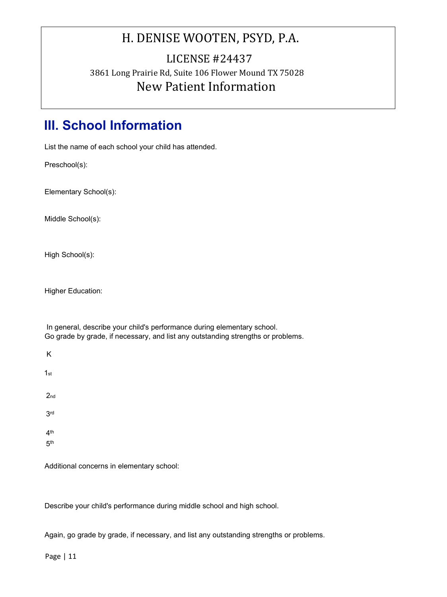### LICENSE #24437 3861 Long Prairie Rd, Suite 106 Flower Mound TX 75028 New Patient Information

# **III. School Information**

List the name of each school your child has attended.

Preschool(s):

Elementary School(s):

Middle School(s):

High School(s):

Higher Education:

In general, describe your child's performance during elementary school. Go grade by grade, if necessary, and list any outstanding strengths or problems.

K 1st 2nd 3rd 4th 5th

Additional concerns in elementary school:

Describe your child's performance during middle school and high school.

Again, go grade by grade, if necessary, and list any outstanding strengths or problems.

Page | 11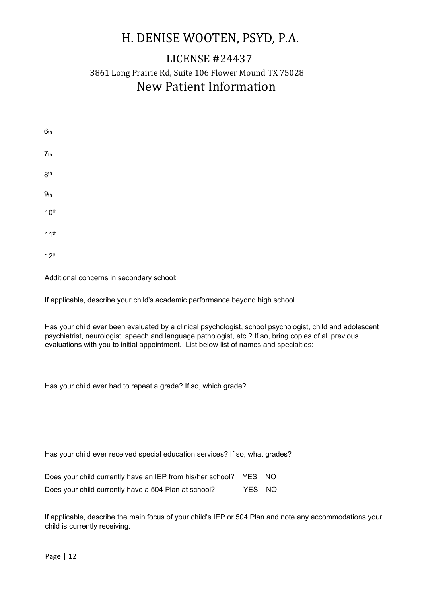## LICENSE #24437 3861 Long Prairie Rd, Suite 106 Flower Mound TX 75028 New Patient Information

| 6 <sub>th</sub>  |  |  |  |
|------------------|--|--|--|
| 7 <sub>th</sub>  |  |  |  |
| 8 <sup>th</sup>  |  |  |  |
| 9 <sub>th</sub>  |  |  |  |
| 10 <sup>th</sup> |  |  |  |
| 11 <sup>th</sup> |  |  |  |

12th

Additional concerns in secondary school:

If applicable, describe your child's academic performance beyond high school.

Has your child ever been evaluated by a clinical psychologist, school psychologist, child and adolescent psychiatrist, neurologist, speech and language pathologist, etc.? If so, bring copies of all previous evaluations with you to initial appointment. List below list of names and specialties:

Has your child ever had to repeat a grade? If so, which grade?

Has your child ever received special education services? If so, what grades?

| Does your child currently have an IEP from his/her school? YES NO |        |  |
|-------------------------------------------------------------------|--------|--|
| Does your child currently have a 504 Plan at school?              | YES NO |  |

If applicable, describe the main focus of your child's IEP or 504 Plan and note any accommodations your child is currently receiving.